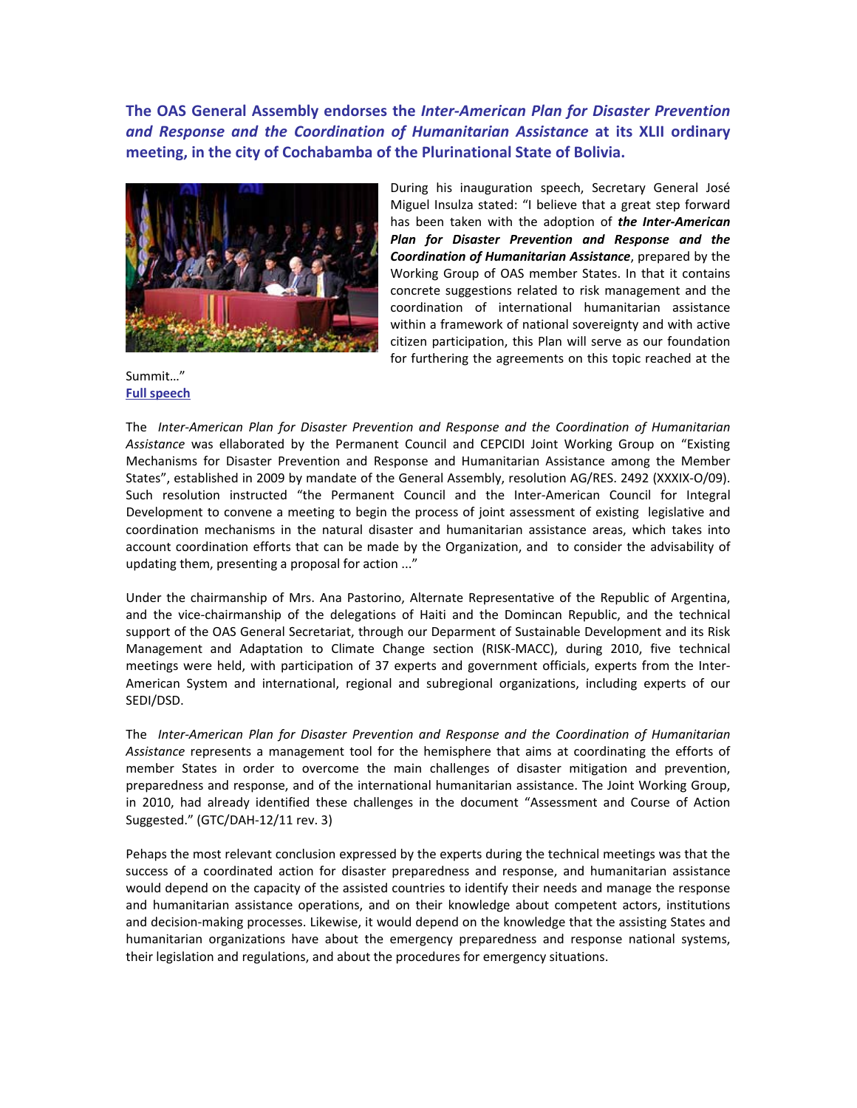**The OAS General Assembly endorses the** *Inter‐American Plan for Disaster Prevention and Response and the Coordination of Humanitarian Assistance* **at its XLII ordinary meeting, in the city of Cochabamba of the Plurinational State of Bolivia.** 



During his inauguration speech, Secretary General José Miguel Insulza stated: "I believe that a great step forward has been taken with the adoption of *the Inter‐American Plan for Disaster Prevention and Response and the Coordination of Humanitarian Assistance*, prepared by the Working Group of OAS member States. In that it contains concrete suggestions related to risk management and the coordination of international humanitarian assistance within a framework of national sovereignty and with active citizen participation, this Plan will serve as our foundation for furthering the agreements on this topic reached at the

Summit…" **Full [speech](http://www.oas.org/en/about/speech_secretary_general.asp?sCodigo=12-0033)**

The *Inter‐American Plan for Disaster Prevention and Response and the Coordination of Humanitarian Assistance* was ellaborated by the Permanent Council and CEPCIDI Joint Working Group on "Existing Mechanisms for Disaster Prevention and Response and Humanitarian Assistance among the Member States", established in 2009 by mandate of the General Assembly, resolution AG/RES. 2492 (XXXIX‐O/09). Such resolution instructed "the Permanent Council and the Inter‐American Council for Integral Development to convene a meeting to begin the process of joint assessment of existing legislative and coordination mechanisms in the natural disaster and humanitarian assistance areas, which takes into account coordination efforts that can be made by the Organization, and to consider the advisability of updating them, presenting a proposal for action ..."

Under the chairmanship of Mrs. Ana Pastorino, Alternate Representative of the Republic of Argentina, and the vice-chairmanship of the delegations of Haiti and the Domincan Republic, and the technical support of the OAS General Secretariat, through our Deparment of Sustainable Development and its Risk Management and Adaptation to Climate Change section (RISK‐MACC), during 2010, five technical meetings were held, with participation of 37 experts and government officials, experts from the Inter‐ American System and international, regional and subregional organizations, including experts of our SEDI/DSD.

The *Inter‐American Plan for Disaster Prevention and Response and the Coordination of Humanitarian Assistance* represents a management tool for the hemisphere that aims at coordinating the efforts of member States in order to overcome the main challenges of disaster mitigation and prevention, preparedness and response, and of the international humanitarian assistance. The Joint Working Group, in 2010, had already identified these challenges in the document "Assessment and Course of Action Suggested." (GTC/DAH‐12/11 rev. 3)

Pehaps the most relevant conclusion expressed by the experts during the technical meetings was that the success of a coordinated action for disaster preparedness and response, and humanitarian assistance would depend on the capacity of the assisted countries to identify their needs and manage the response and humanitarian assistance operations, and on their knowledge about competent actors, institutions and decision-making processes. Likewise, it would depend on the knowledge that the assisting States and humanitarian organizations have about the emergency preparedness and response national systems, their legislation and regulations, and about the procedures for emergency situations.